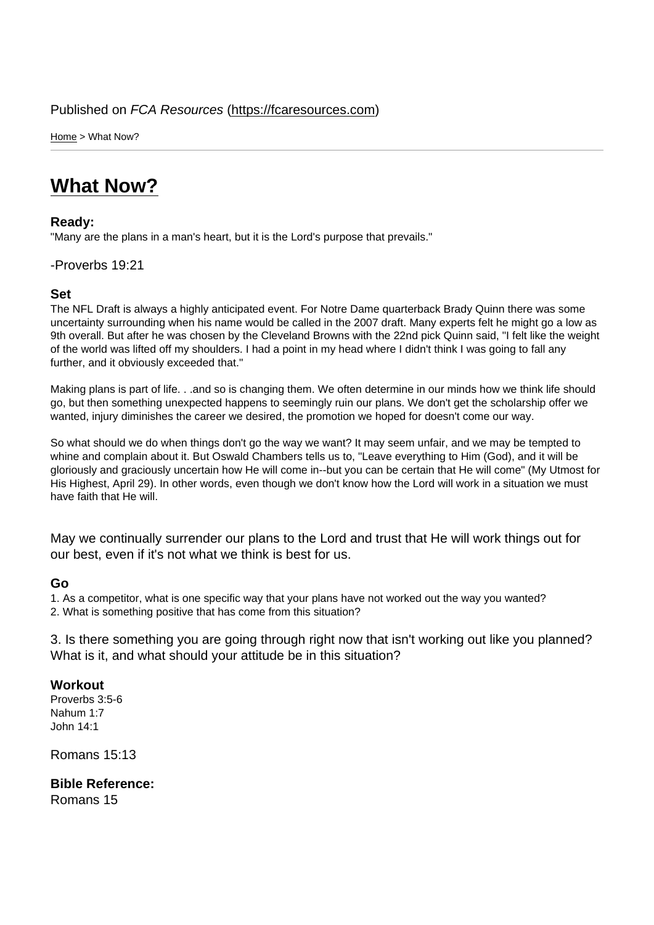Home > What Now?

# [Wh](https://fcaresources.com/)at Now?

#### Ready:

["Many are the plans in](https://fcaresources.com/devotional/what-now) a man's heart, but it is the Lord's purpose that prevails."

### -Proverbs 19:21

Set

The NFL Draft is always a highly anticipated event. For Notre Dame quarterback Brady Quinn there was some uncertainty surrounding when his name would be called in the 2007 draft. Many experts felt he might go a low as 9th overall. But after he was chosen by the Cleveland Browns with the 22nd pick Quinn said, "I felt like the weight of the world was lifted off my shoulders. I had a point in my head where I didn't think I was going to fall any further, and it obviously exceeded that."

Making plans is part of life. . .and so is changing them. We often determine in our minds how we think life should go, but then something unexpected happens to seemingly ruin our plans. We don't get the scholarship offer we wanted, injury diminishes the career we desired, the promotion we hoped for doesn't come our way.

So what should we do when things don't go the way we want? It may seem unfair, and we may be tempted to whine and complain about it. But Oswald Chambers tells us to, "Leave everything to Him (God), and it will be gloriously and graciously uncertain how He will come in--but you can be certain that He will come" (My Utmost for His Highest, April 29). In other words, even though we don't know how the Lord will work in a situation we must have faith that He will.

May we continually surrender our plans to the Lord and trust that He will work things out for our best, even if it's not what we think is best for us.

#### Go

1. As a competitor, what is one specific way that your plans have not worked out the way you wanted? 2. What is something positive that has come from this situation?

3. Is there something you are going through right now that isn't working out like you planned? What is it, and what should your attitude be in this situation?

**Workout** Proverbs 3:5-6 Nahum 1:7 John 14:1

Romans 15:13

Bible Reference: Romans 15